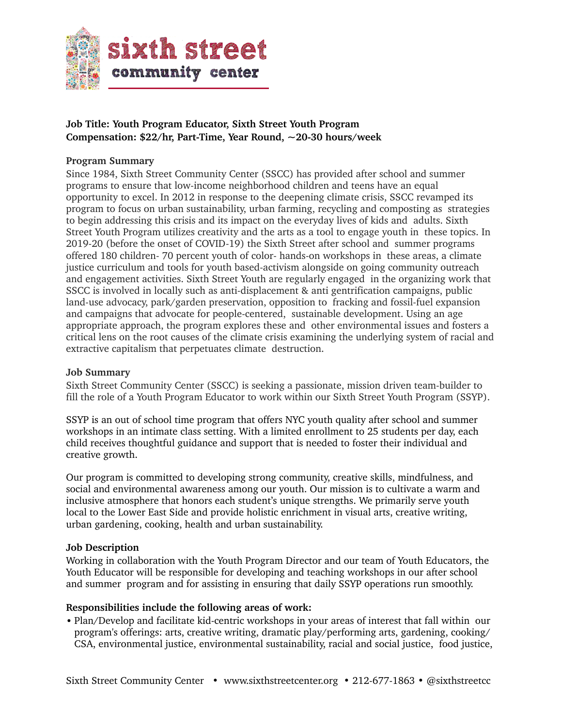

# **Job Title: Youth Program Educator, Sixth Street Youth Program Compensation: \$22/hr, Part-Time, Year Round, ~20-30 hours/week**

### **Program Summary**

Since 1984, Sixth Street Community Center (SSCC) has provided after school and summer programs to ensure that low-income neighborhood children and teens have an equal opportunity to excel. In 2012 in response to the deepening climate crisis, SSCC revamped its program to focus on urban sustainability, urban farming, recycling and composting as strategies to begin addressing this crisis and its impact on the everyday lives of kids and adults. Sixth Street Youth Program utilizes creativity and the arts as a tool to engage youth in these topics. In 2019-20 (before the onset of COVID-19) the Sixth Street after school and summer programs offered 180 children- 70 percent youth of color- hands-on workshops in these areas, a climate justice curriculum and tools for youth based-activism alongside on going community outreach and engagement activities. Sixth Street Youth are regularly engaged in the organizing work that SSCC is involved in locally such as anti-displacement & anti gentrification campaigns, public land-use advocacy, park/garden preservation, opposition to fracking and fossil-fuel expansion and campaigns that advocate for people-centered, sustainable development. Using an age appropriate approach, the program explores these and other environmental issues and fosters a critical lens on the root causes of the climate crisis examining the underlying system of racial and extractive capitalism that perpetuates climate destruction.

#### **Job Summary**

Sixth Street Community Center (SSCC) is seeking a passionate, mission driven team-builder to fill the role of a Youth Program Educator to work within our Sixth Street Youth Program (SSYP).

SSYP is an out of school time program that offers NYC youth quality after school and summer workshops in an intimate class setting. With a limited enrollment to 25 students per day, each child receives thoughtful guidance and support that is needed to foster their individual and creative growth.

Our program is committed to developing strong community, creative skills, mindfulness, and social and environmental awareness among our youth. Our mission is to cultivate a warm and inclusive atmosphere that honors each student's unique strengths. We primarily serve youth local to the Lower East Side and provide holistic enrichment in visual arts, creative writing, urban gardening, cooking, health and urban sustainability.

#### **Job Description**

Working in collaboration with the Youth Program Director and our team of Youth Educators, the Youth Educator will be responsible for developing and teaching workshops in our after school and summer program and for assisting in ensuring that daily SSYP operations run smoothly.

#### **Responsibilities include the following areas of work:**

• Plan/Develop and facilitate kid-centric workshops in your areas of interest that fall within our program's offerings: arts, creative writing, dramatic play/performing arts, gardening, cooking/ CSA, environmental justice, environmental sustainability, racial and social justice, food justice,